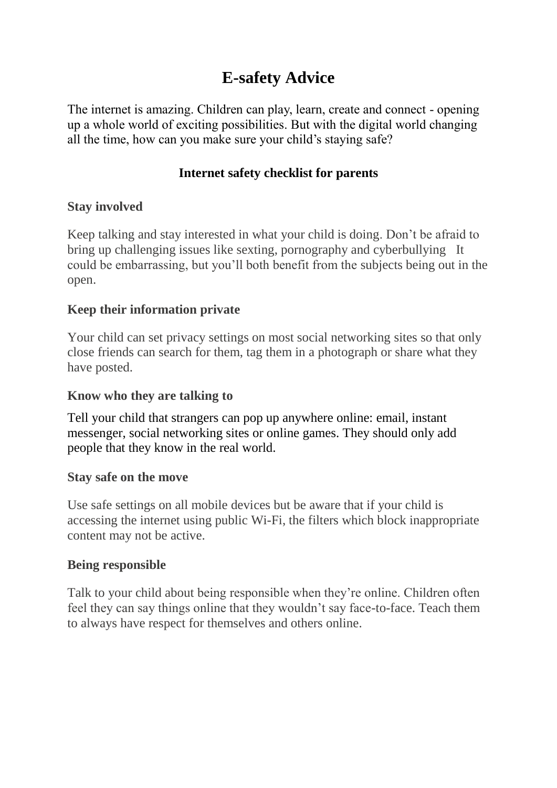# **E-safety Advice**

The internet is amazing. Children can play, learn, create and connect - opening up a whole world of exciting possibilities. But with the digital world changing all the time, how can you make sure your child's staying safe?

# **Internet safety checklist for parents**

## **Stay involved**

Keep talking and stay interested in what your child is doing. Don't be afraid to bring up challenging issues like sexting, pornography and cyberbullying It could be embarrassing, but you'll both benefit from the subjects being out in the open.

## **Keep their information private**

Your child can set privacy settings on most social networking sites so that only close friends can search for them, tag them in a photograph or share what they have posted.

#### **Know who they are talking to**

Tell your child that strangers can pop up anywhere online: email, instant messenger, social networking sites or online games. They should only add people that they know in the real world.

#### **Stay safe on the move**

Use safe settings on all mobile devices but be aware that if your child is accessing the internet using public Wi-Fi, the filters which block inappropriate content may not be active.

#### **Being responsible**

Talk to your child about being responsible when they're online. Children often feel they can say things online that they wouldn't say face-to-face. Teach them to always have respect for themselves and others online.